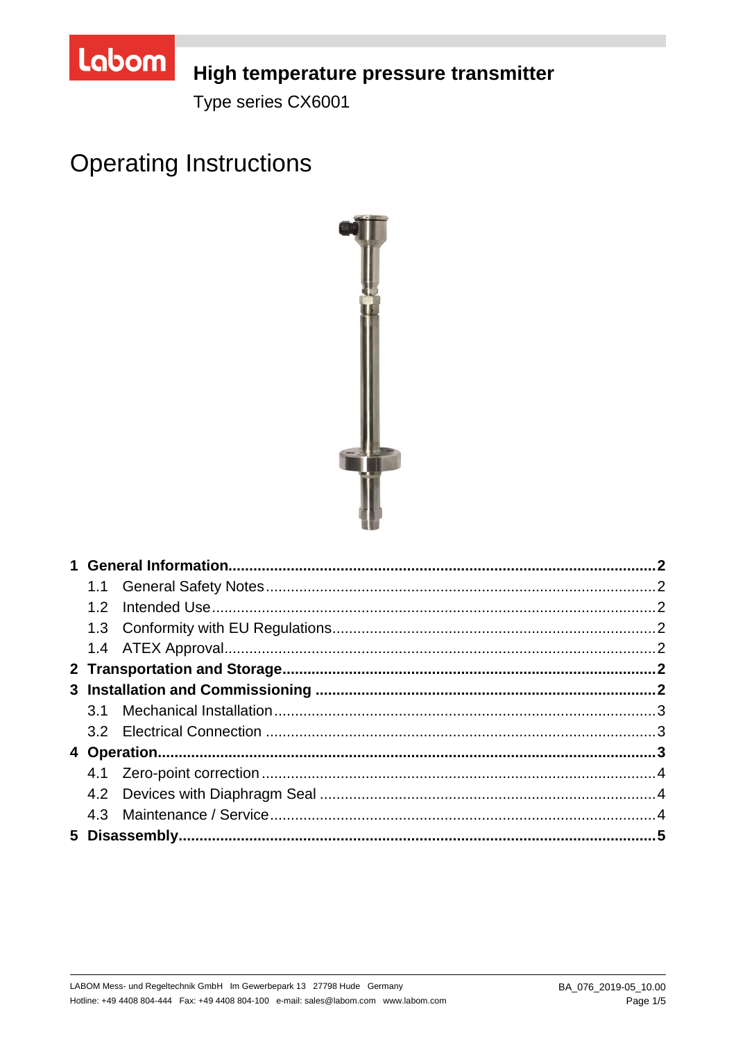

## High temperature pressure transmitter

Type series CX6001

# **Operating Instructions**

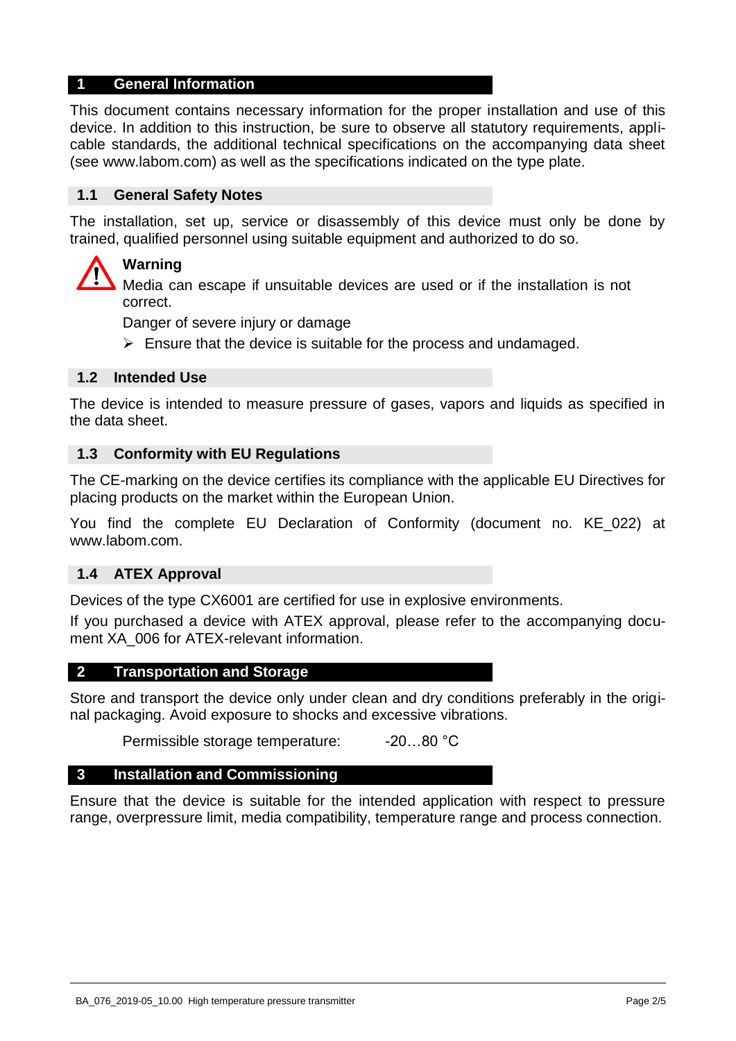## **1 General Information**

This document contains necessary information for the proper installation and use of this device. In addition to this instruction, be sure to observe all statutory requirements, applicable standards, the additional technical specifications on the accompanying data sheet (see www.labom.com) as well as the specifications indicated on the type plate.

#### **1.1 General Safety Notes**

The installation, set up, service or disassembly of this device must only be done by trained, qualified personnel using suitable equipment and authorized to do so.

## **Warning**

Media can escape if unsuitable devices are used or if the installation is not correct.

Danger of severe injury or damage

 $\triangleright$  Ensure that the device is suitable for the process and undamaged.

#### **1.2 Intended Use**

The device is intended to measure pressure of gases, vapors and liquids as specified in the data sheet.

#### **1.3 Conformity with EU Regulations**

The CE-marking on the device certifies its compliance with the applicable EU Directives for placing products on the market within the European Union.

You find the complete EU Declaration of Conformity (document no. KE\_022) at www.labom.com.

#### **1.4 ATEX Approval**

Devices of the type CX6001 are certified for use in explosive environments.

If you purchased a device with ATEX approval, please refer to the accompanying document XA 006 for ATEX-relevant information.

#### **2 Transportation and Storage**

Store and transport the device only under clean and dry conditions preferably in the original packaging. Avoid exposure to shocks and excessive vibrations.

Permissible storage temperature: -20...80 °C

#### **3 Installation and Commissioning**

Ensure that the device is suitable for the intended application with respect to pressure range, overpressure limit, media compatibility, temperature range and process connection.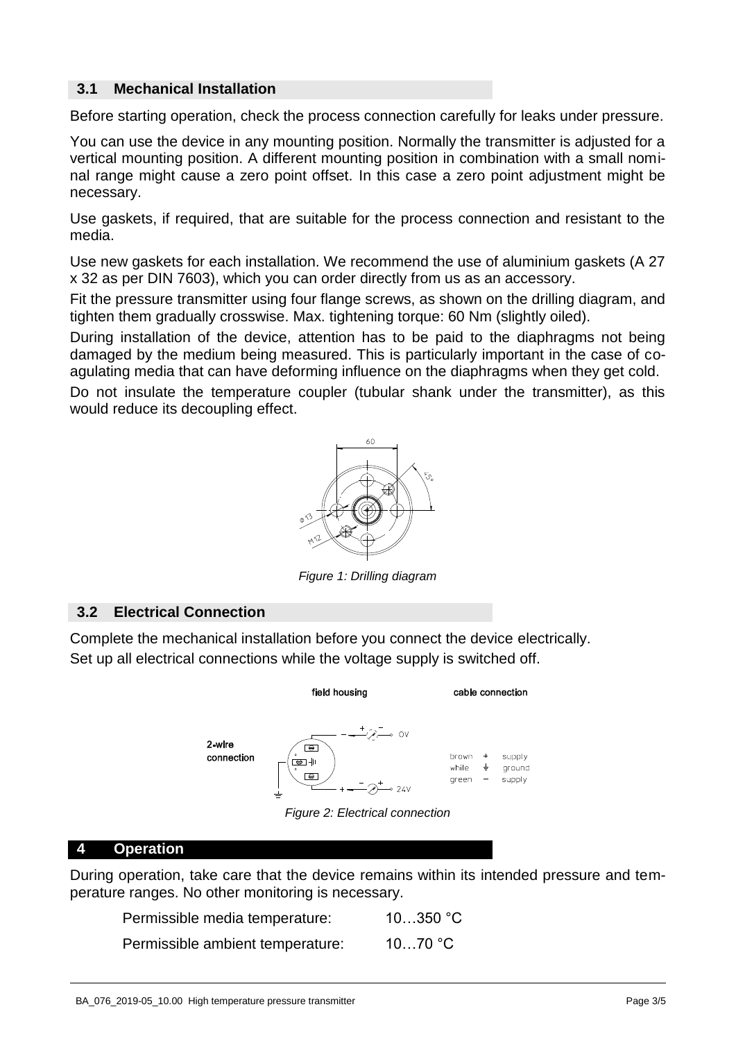## **3.1 Mechanical Installation**

Before starting operation, check the process connection carefully for leaks under pressure.

You can use the device in any mounting position. Normally the transmitter is adjusted for a vertical mounting position. A different mounting position in combination with a small nominal range might cause a zero point offset. In this case a zero point adjustment might be necessary.

Use gaskets, if required, that are suitable for the process connection and resistant to the media.

Use new gaskets for each installation. We recommend the use of aluminium gaskets (A 27 x 32 as per DIN 7603), which you can order directly from us as an accessory.

Fit the pressure transmitter using four flange screws, as shown on the drilling diagram, and tighten them gradually crosswise. Max. tightening torque: 60 Nm (slightly oiled).

During installation of the device, attention has to be paid to the diaphragms not being damaged by the medium being measured. This is particularly important in the case of coagulating media that can have deforming influence on the diaphragms when they get cold.

Do not insulate the temperature coupler (tubular shank under the transmitter), as this would reduce its decoupling effect.



*Figure 1: Drilling diagram* 

## **3.2 Electrical Connection**

Complete the mechanical installation before you connect the device electrically. Set up all electrical connections while the voltage supply is switched off.



*Figure 2: Electrical connection* 

## **4 Operation**

During operation, take care that the device remains within its intended pressure and temperature ranges. No other monitoring is necessary.

| Permissible media temperature:   | $10350$ °C        |
|----------------------------------|-------------------|
| Permissible ambient temperature: | 1070 $^{\circ}$ C |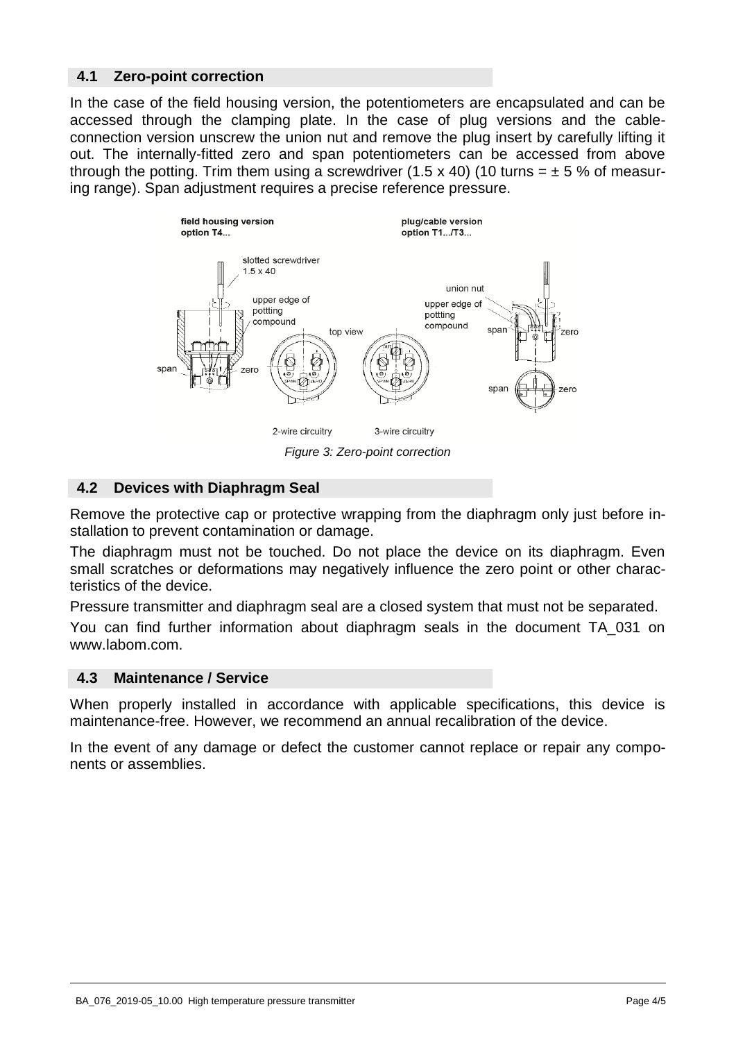#### **4.1 Zero-point correction**

In the case of the field housing version, the potentiometers are encapsulated and can be accessed through the clamping plate. In the case of plug versions and the cableconnection version unscrew the union nut and remove the plug insert by carefully lifting it out. The internally-fitted zero and span potentiometers can be accessed from above through the potting. Trim them using a screwdriver (1.5 x 40) (10 turns =  $\pm$  5 % of measuring range). Span adjustment requires a precise reference pressure.



## **4.2 Devices with Diaphragm Seal**

Remove the protective cap or protective wrapping from the diaphragm only just before installation to prevent contamination or damage.

The diaphragm must not be touched. Do not place the device on its diaphragm. Even small scratches or deformations may negatively influence the zero point or other characteristics of the device.

Pressure transmitter and diaphragm seal are a closed system that must not be separated.

You can find further information about diaphragm seals in the document TA\_031 on www.labom.com.

#### **4.3 Maintenance / Service**

When properly installed in accordance with applicable specifications, this device is maintenance-free. However, we recommend an annual recalibration of the device.

In the event of any damage or defect the customer cannot replace or repair any components or assemblies.